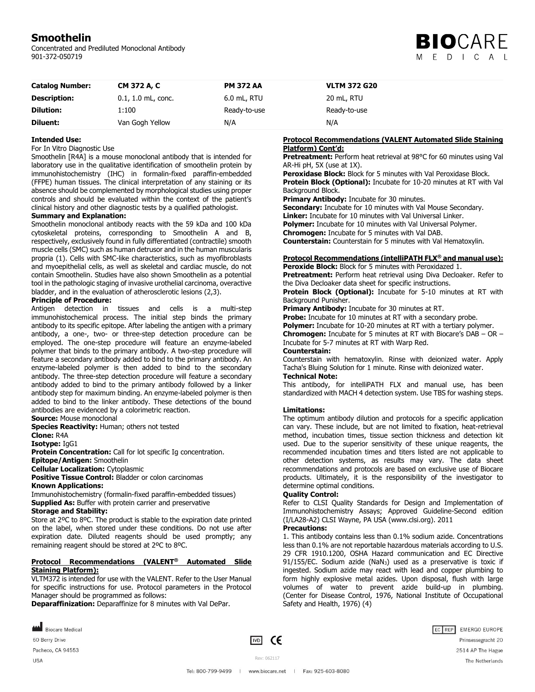# **Smoothelin**

Concentrated and Prediluted Monoclonal Antibody 901-372-050719



| <b>Catalog Number:</b> | CM 372 A, C          | <b>PM 372 AA</b> | <b>VLTM 372 G20</b> |
|------------------------|----------------------|------------------|---------------------|
| <b>Description:</b>    | $0.1, 1.0$ mL, conc. | 6.0 mL, RTU      | 20 mL, RTU          |
| <b>Dilution:</b>       | 1:100                | Ready-to-use     | Ready-to-use        |
| Diluent:               | Van Gogh Yellow      | N/A              | N/A                 |

## **Intended Use:**

For In Vitro Diagnostic Use

Smoothelin [R4A] is a mouse monoclonal antibody that is intended for laboratory use in the qualitative identification of smoothelin protein by immunohistochemistry (IHC) in formalin-fixed paraffin-embedded (FFPE) human tissues. The clinical interpretation of any staining or its absence should be complemented by morphological studies using proper controls and should be evaluated within the context of the patient's clinical history and other diagnostic tests by a qualified pathologist.

## **Summary and Explanation:**

Smoothelin monoclonal antibody reacts with the 59 kDa and 100 kDa cytoskeletal proteins, corresponding to Smoothelin A and B, respectively, exclusively found in fully differentiated (contractile) smooth muscle cells (SMC) such as human detrusor and in the human muscularis propria (1). Cells with SMC-like characteristics, such as myofibroblasts and myoepithelial cells, as well as skeletal and cardiac muscle, do not contain Smoothelin. Studies have also shown Smoothelin as a potential tool in the pathologic staging of invasive urothelial carcinoma, overactive bladder, and in the evaluation of atherosclerotic lesions (2,3).

## **Principle of Procedure:**

Antigen detection in tissues and cells is a multi-step immunohistochemical process. The initial step binds the primary antibody to its specific epitope. After labeling the antigen with a primary antibody, a one-, two- or three-step detection procedure can be employed. The one-step procedure will feature an enzyme-labeled polymer that binds to the primary antibody. A two-step procedure will feature a secondary antibody added to bind to the primary antibody. An enzyme-labeled polymer is then added to bind to the secondary antibody. The three-step detection procedure will feature a secondary antibody added to bind to the primary antibody followed by a linker antibody step for maximum binding. An enzyme-labeled polymer is then added to bind to the linker antibody. These detections of the bound antibodies are evidenced by a colorimetric reaction. **Source:** Mouse monoclonal

**Species Reactivity:** Human; others not tested

**Clone:** R4A

**Isotype:** IgG1

**Protein Concentration:** Call for lot specific Ig concentration.

**Epitope/Antigen:** Smoothelin

**Cellular Localization:** Cytoplasmic

**Positive Tissue Control:** Bladder or colon carcinomas **Known Applications:**

Immunohistochemistry (formalin-fixed paraffin-embedded tissues) **Supplied As:** Buffer with protein carrier and preservative

#### **Storage and Stability:**

Store at 2ºC to 8ºC. The product is stable to the expiration date printed on the label, when stored under these conditions. Do not use after expiration date. Diluted reagents should be used promptly; any remaining reagent should be stored at 2ºC to 8ºC.

## **Protocol Recommendations (VALENT® Automated Slide Staining Platform):**

VLTM372 is intended for use with the VALENT. Refer to the User Manual for specific instructions for use. Protocol parameters in the Protocol Manager should be programmed as follows:

**Deparaffinization:** Deparaffinize for 8 minutes with Val DePar.

Biocare Medical

60 Berry Drive Pacheco, CA 94553

**USA** 

 $\boxed{VD}$  CE

## **Protocol Recommendations (VALENT Automated Slide Staining Platform) Cont'd:**

**Pretreatment:** Perform heat retrieval at 98°C for 60 minutes using Val AR-Hi pH, 5X (use at 1X).

**Peroxidase Block:** Block for 5 minutes with Val Peroxidase Block. **Protein Block (Optional):** Incubate for 10-20 minutes at RT with Val Background Block.

**Primary Antibody:** Incubate for 30 minutes.

**Secondary:** Incubate for 10 minutes with Val Mouse Secondary. **Linker:** Incubate for 10 minutes with Val Universal Linker. **Polymer:** Incubate for 10 minutes with Val Universal Polymer. **Chromogen:** Incubate for 5 minutes with Val DAB. **Counterstain:** Counterstain for 5 minutes with Val Hematoxylin.

## **Protocol Recommendations (intelliPATH FLX® and manual use):**

**Peroxide Block:** Block for 5 minutes with Peroxidazed 1. Pretreatment: Perform heat retrieval using Diva Decloaker. Refer to the Diva Decloaker data sheet for specific instructions.

**Protein Block (Optional):** Incubate for 5-10 minutes at RT with Background Punisher.

**Primary Antibody:** Incubate for 30 minutes at RT.

Probe: Incubate for 10 minutes at RT with a secondary probe. **Polymer:** Incubate for 10-20 minutes at RT with a tertiary polymer.

**Chromogen:** Incubate for 5 minutes at RT with Biocare's DAB – OR – Incubate for 5-7 minutes at RT with Warp Red.

#### **Counterstain:**

Counterstain with hematoxylin. Rinse with deionized water. Apply Tacha's Bluing Solution for 1 minute. Rinse with deionized water.

## **Technical Note:**

This antibody, for intelliPATH FLX and manual use, has been standardized with MACH 4 detection system. Use TBS for washing steps.

#### **Limitations:**

The optimum antibody dilution and protocols for a specific application can vary. These include, but are not limited to fixation, heat-retrieval method, incubation times, tissue section thickness and detection kit used. Due to the superior sensitivity of these unique reagents, the recommended incubation times and titers listed are not applicable to other detection systems, as results may vary. The data sheet recommendations and protocols are based on exclusive use of Biocare products. Ultimately, it is the responsibility of the investigator to determine optimal conditions.

#### **Quality Control:**

Refer to CLSI Quality Standards for Design and Implementation of Immunohistochemistry Assays; Approved Guideline-Second edition (I/LA28-A2) CLSI Wayne, PA USA (www.clsi.org). 2011

## **Precautions:**

1. This antibody contains less than 0.1% sodium azide. Concentrations less than 0.1% are not reportable hazardous materials according to U.S. 29 CFR 1910.1200, OSHA Hazard communication and EC Directive 91/155/EC. Sodium azide (NaN3) used as a preservative is toxic if ingested. Sodium azide may react with lead and copper plumbing to form highly explosive metal azides. Upon disposal, flush with large volumes of water to prevent azide build-up in plumbing. (Center for Disease Control, 1976, National Institute of Occupational Safety and Health, 1976) (4)

> EC REP EMERGO EUROPE Prinsessegracht 20 2514 AP The Hague The Netherlands

Tel: 800-799-9499 | www.biocare.net | Fax: 925-603-8080